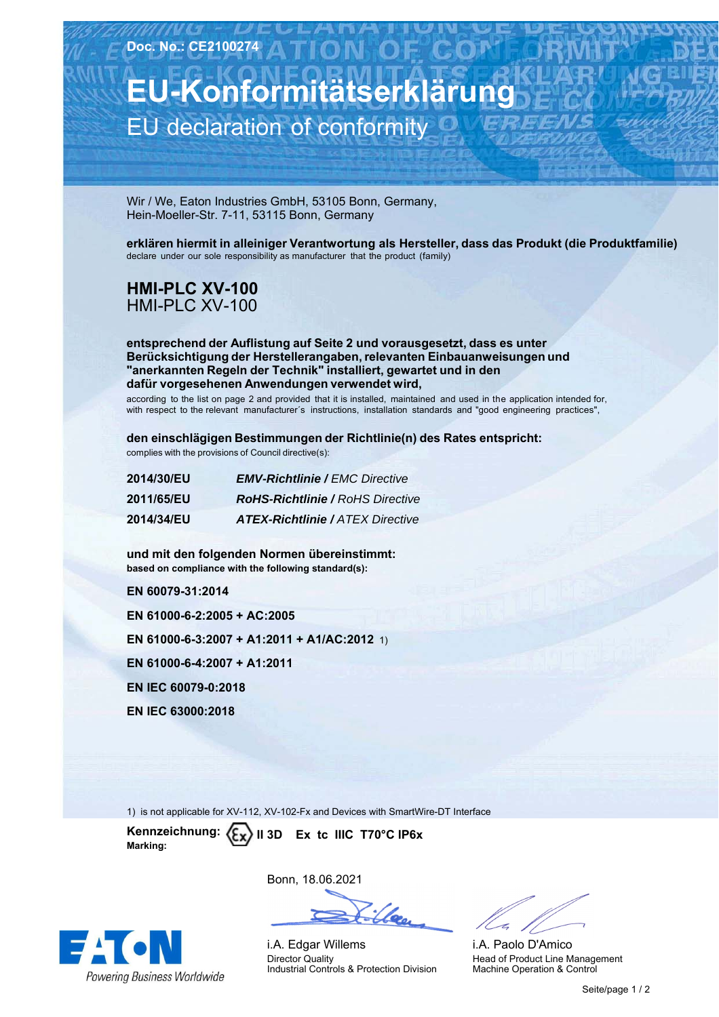**EU-Konformitätserklärung** EU declaration of conformity

Wir / We, Eaton Industries GmbH, 53105 Bonn, Germany, Hein-Moeller-Str. 7-11, 53115 Bonn, Germany

**erklären hiermit in alleiniger Verantwortung als Hersteller, dass das Produkt (die Produktfamilie)** declare under our sole responsibility as manufacturer that the product (family)

## **HMI-PLC-XV-100** HMI-PLC-XV-100

**entsprechend der Auflistung auf Seite 2 und vorausgesetzt, dass es unter Berücksichtigung der Herstellerangaben, relevanten Einbauanweisungen und "anerkannten Regeln der Technik" installiert, gewartet und in den dafür vorgesehenen Anwendungen verwendet wird,**

according to the list on page 2 and provided that it is installed, maintained and used in the application intended for, with respect to the relevant manufacturer´s instructions, installation standards and "good engineering practices",

**den einschlägigen Bestimmungen der Richtlinie(n) des Rates entspricht:** complies with the provisions of Council directive(s):

| 2014/30/EU        | <b>EMV-Richtlinie / EMC Directive</b>   |
|-------------------|-----------------------------------------|
| 2011/65/EU        | <b>RoHS-Richtlinie / RoHS Directive</b> |
| <b>2014/34/EU</b> | <b>ATEX-Richtlinie / ATEX Directive</b> |

**und-mit-den-folgenden-Normen-übereinstimmt: based on compliance with the following standard(s):** 

**EN-60079-31:2014**

**EN-61000-6-2:2005-+-AC:2005**

**EN 61000-6-3:2007 + A1:2011 + A1/AC:2012** 1)

**EN-61000-6-4:2007-+-A1:2011**

**EN-IEC-60079-0:2018**

**EN-IEC-63000:2018**

1) is not applicable for XV-112, XV-102-Fx and Devices with SmartWire-DT Interface

Kennzeichnung: **Marking: II-3D----Ex--tc--IIIC--T70°C-IP6x**



Bonn,-18.06.2021

i.A. Edgar Willems Director Quality Industrial Controls & Protection Division

i.A. Paolo D'Amico Head of Product Line Management Machine Operation & Control